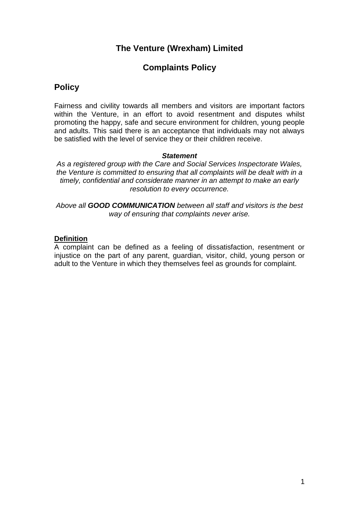# **The Venture (Wrexham) Limited**

# **Complaints Policy**

## **Policy**

Fairness and civility towards all members and visitors are important factors within the Venture, in an effort to avoid resentment and disputes whilst promoting the happy, safe and secure environment for children, young people and adults. This said there is an acceptance that individuals may not always be satisfied with the level of service they or their children receive.

#### *Statement*

*As a registered group with the Care and Social Services Inspectorate Wales, the Venture is committed to ensuring that all complaints will be dealt with in a timely, confidential and considerate manner in an attempt to make an early resolution to every occurrence.*

*Above all GOOD COMMUNICATION between all staff and visitors is the best way of ensuring that complaints never arise.*

#### **Definition**

A complaint can be defined as a feeling of dissatisfaction, resentment or injustice on the part of any parent, guardian, visitor, child, young person or adult to the Venture in which they themselves feel as grounds for complaint.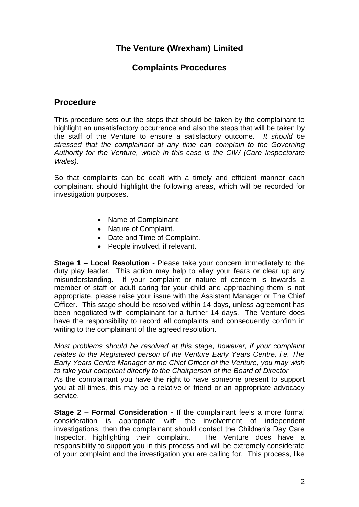# **The Venture (Wrexham) Limited**

## **Complaints Procedures**

### **Procedure**

This procedure sets out the steps that should be taken by the complainant to highlight an unsatisfactory occurrence and also the steps that will be taken by the staff of the Venture to ensure a satisfactory outcome. *It should be stressed that the complainant at any time can complain to the Governing Authority for the Venture, which in this case is the CIW (Care Inspectorate Wales).* 

So that complaints can be dealt with a timely and efficient manner each complainant should highlight the following areas, which will be recorded for investigation purposes.

- Name of Complainant.
- Nature of Complaint.
- Date and Time of Complaint.
- People involved, if relevant.

**Stage 1 – Local Resolution -** Please take your concern immediately to the duty play leader. This action may help to allay your fears or clear up any misunderstanding. If your complaint or nature of concern is towards a member of staff or adult caring for your child and approaching them is not appropriate, please raise your issue with the Assistant Manager or The Chief Officer. This stage should be resolved within 14 days, unless agreement has been negotiated with complainant for a further 14 days. The Venture does have the responsibility to record all complaints and consequently confirm in writing to the complainant of the agreed resolution.

*Most problems should be resolved at this stage, however, if your complaint relates to the Registered person of the Venture Early Years Centre, i.e. The Early Years Centre Manager or the Chief Officer of the Venture, you may wish to take your compliant directly to the Chairperson of the Board of Director* As the complainant you have the right to have someone present to support you at all times, this may be a relative or friend or an appropriate advocacy service.

**Stage 2 – Formal Consideration -** If the complainant feels a more formal consideration is appropriate with the involvement of independent investigations, then the complainant should contact the Children's Day Care Inspector, highlighting their complaint. The Venture does have a responsibility to support you in this process and will be extremely considerate of your complaint and the investigation you are calling for. This process, like